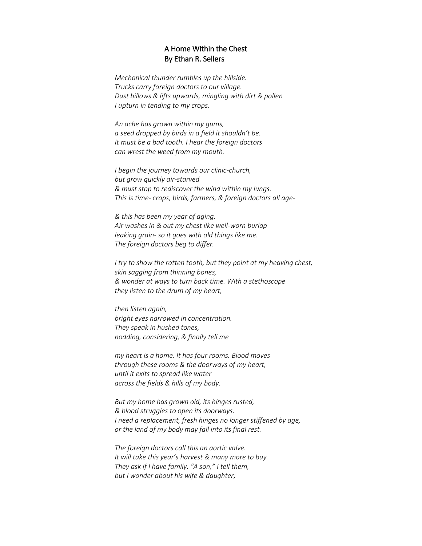## A Home Within the Chest By Ethan R. Sellers

*Mechanical thunder rumbles up the hillside. Trucks carry foreign doctors to our village. Dust billows & lifts upwards, mingling with dirt & pollen I upturn in tending to my crops.*

*An ache has grown within my gums, a seed dropped by birds in a field it shouldn't be. It must be a bad tooth. I hear the foreign doctors can wrest the weed from my mouth.*

*I begin the journey towards our clinic-church, but grow quickly air-starved & must stop to rediscover the wind within my lungs. This is time- crops, birds, farmers, & foreign doctors all age-*

*& this has been my year of aging. Air washes in & out my chest like well-worn burlap leaking grain- so it goes with old things like me. The foreign doctors beg to differ.*

*I try to show the rotten tooth, but they point at my heaving chest, skin sagging from thinning bones, & wonder at ways to turn back time. With a stethoscope they listen to the drum of my heart,*

*then listen again, bright eyes narrowed in concentration. They speak in hushed tones, nodding, considering, & finally tell me*

*my heart is a home. It has four rooms. Blood moves through these rooms & the doorways of my heart, until it exits to spread like water across the fields & hills of my body.*

*But my home has grown old, its hinges rusted, & blood struggles to open its doorways. I need a replacement, fresh hinges no longer stiffened by age, or the land of my body may fall into its final rest.*

*The foreign doctors call this an aortic valve. It will take this year's harvest & many more to buy. They ask if I have family. "A son," I tell them, but I wonder about his wife & daughter;*